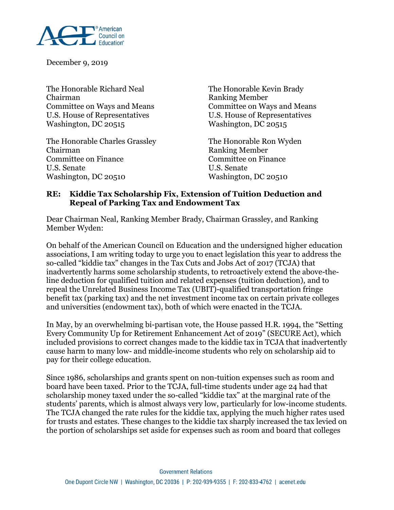

December 9, 2019

The Honorable Richard Neal The Honorable Kevin Brady Chairman Ranking Member Committee on Ways and Means Committee on Ways and Means U.S. House of Representatives U.S. House of Representatives Washington, DC 20515 Washington, DC 20515

The Honorable Charles Grassley The Honorable Ron Wyden Chairman Ranking Member Committee on Finance Committee on Finance U.S. Senate U.S. Senate Washington, DC 20510 Washington, DC 20510

## **RE: Kiddie Tax Scholarship Fix, Extension of Tuition Deduction and Repeal of Parking Tax and Endowment Tax**

Dear Chairman Neal, Ranking Member Brady, Chairman Grassley, and Ranking Member Wyden:

On behalf of the American Council on Education and the undersigned higher education associations, I am writing today to urge you to enact legislation this year to address the so-called "kiddie tax" changes in the Tax Cuts and Jobs Act of 2017 (TCJA) that inadvertently harms some scholarship students, to retroactively extend the above-theline deduction for qualified tuition and related expenses (tuition deduction), and to repeal the Unrelated Business Income Tax (UBIT)-qualified transportation fringe benefit tax (parking tax) and the net investment income tax on certain private colleges and universities (endowment tax), both of which were enacted in the TCJA.

In May, by an overwhelming bi-partisan vote, the House passed H.R. 1994, the "Setting Every Community Up for Retirement Enhancement Act of 2019" (SECURE Act), which included provisions to correct changes made to the kiddie tax in TCJA that inadvertently cause harm to many low- and middle-income students who rely on scholarship aid to pay for their college education.

Since 1986, scholarships and grants spent on non-tuition expenses such as room and board have been taxed. Prior to the TCJA, full-time students under age 24 had that scholarship money taxed under the so-called "kiddie tax" at the marginal rate of the students' parents, which is almost always very low, particularly for low-income students. The TCJA changed the rate rules for the kiddie tax, applying the much higher rates used for trusts and estates. These changes to the kiddie tax sharply increased the tax levied on the portion of scholarships set aside for expenses such as room and board that colleges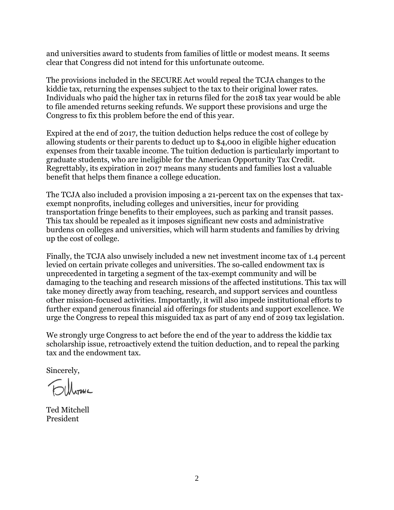and universities award to students from families of little or modest means. It seems clear that Congress did not intend for this unfortunate outcome.

The provisions included in the SECURE Act would repeal the TCJA changes to the kiddie tax, returning the expenses subject to the tax to their original lower rates. Individuals who paid the higher tax in returns filed for the 2018 tax year would be able to file amended returns seeking refunds. We support these provisions and urge the Congress to fix this problem before the end of this year.

Expired at the end of 2017, the tuition deduction helps reduce the cost of college by allowing students or their parents to deduct up to \$4,000 in eligible higher education expenses from their taxable income. The tuition deduction is particularly important to graduate students, who are ineligible for the American Opportunity Tax Credit. Regrettably, its expiration in 2017 means many students and families lost a valuable benefit that helps them finance a college education.

The TCJA also included a provision imposing a 21-percent tax on the expenses that taxexempt nonprofits, including colleges and universities, incur for providing transportation fringe benefits to their employees, such as parking and transit passes. This tax should be repealed as it imposes significant new costs and administrative burdens on colleges and universities, which will harm students and families by driving up the cost of college.

Finally, the TCJA also unwisely included a new net investment income tax of 1.4 percent levied on certain private colleges and universities. The so-called endowment tax is unprecedented in targeting a segment of the tax-exempt community and will be damaging to the teaching and research missions of the affected institutions. This tax will take money directly away from teaching, research, and support services and countless other mission-focused activities. Importantly, it will also impede institutional efforts to further expand generous financial aid offerings for students and support excellence. We urge the Congress to repeal this misguided tax as part of any end of 2019 tax legislation.

We strongly urge Congress to act before the end of the year to address the kiddie tax scholarship issue, retroactively extend the tuition deduction, and to repeal the parking tax and the endowment tax.

Sincerely,

Ted Mitchell President